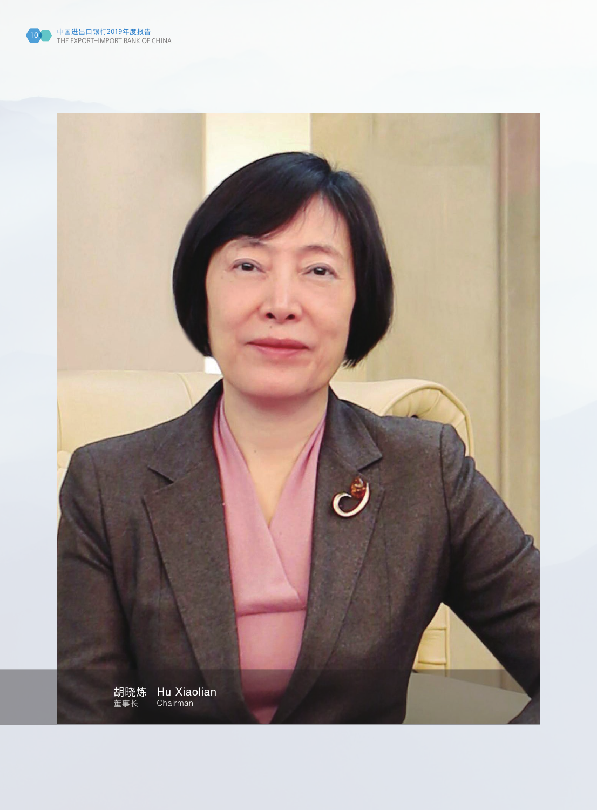

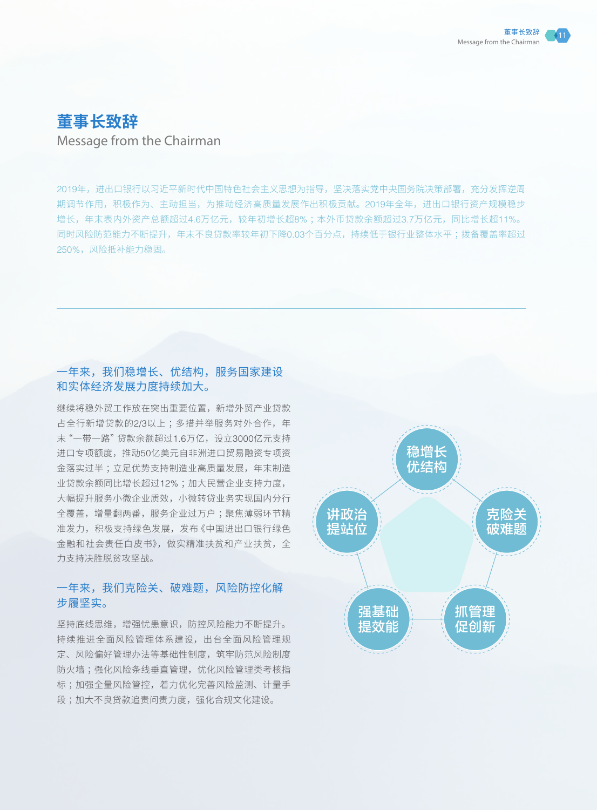# **董事长致辞** Message from the Chairman

2019年,进出口银行以习近平新时代中国特色社会主义思想为指导,坚决落实党中央国务院决策部署,充分发挥逆周 期调节作用,积极作为、主动担当,为推动经济高质量发展作出积极贡献。2019年全年,进出口银行资产规模稳步 增长,年末表内外资产总额超过4.6万亿元,较年初增长超8% ;本外币贷款余额超过3.7万亿元,同比增长超11%。 同时风险防范能力不断提升,年末不良贷款率较年初下降0.03个百分点,持续低于银行业整体水平 ;拨备覆盖率超过 250%,风险抵补能力稳固。

# 一年来,我们稳增长、优结构,服务国家建设 和实体经济发展力度持续加大。

继续将稳外贸工作放在突出重要位置,新增外贸产业贷款 占全行新增贷款的2/3以上;多措并举服务对外合作,年 末"一带一路"贷款余额超过1.6万亿,设立3000亿元支持 进口专项额度,推动50亿美元自非洲进口贸易融资专项资 金落实过半 ;立足优势支持制造业高质量发展,年末制造 业贷款余额同比增长超过12% ;加大民营企业支持力度, 大幅提升服务小微企业质效,小微转贷业务实现国内分行 全覆盖,增量翻两番,服务企业过万户 ;聚焦薄弱环节精 准发力,积极支持绿色发展,发布《中国进出口银行绿色 金融和社会责任白皮书》,做实精准扶贫和产业扶贫,全 力支持决胜脱贫攻坚战。

# 一年来,我们克险关、破难题,风险防控化解 步履坚实。

坚持底线思维,增强忧患意识,防控风险能力不断提升。 持续推进全面风险管理体系建设,出台全面风险管理规 定、风险偏好管理办法等基础性制度,筑牢防范风险制度 防火墙 ;强化风险条线垂直管理,优化风险管理类考核指 标 ;加强全量风险管控,着力优化完善风险监测、计量手 段 ;加大不良贷款追责问责力度,强化合规文化建设。

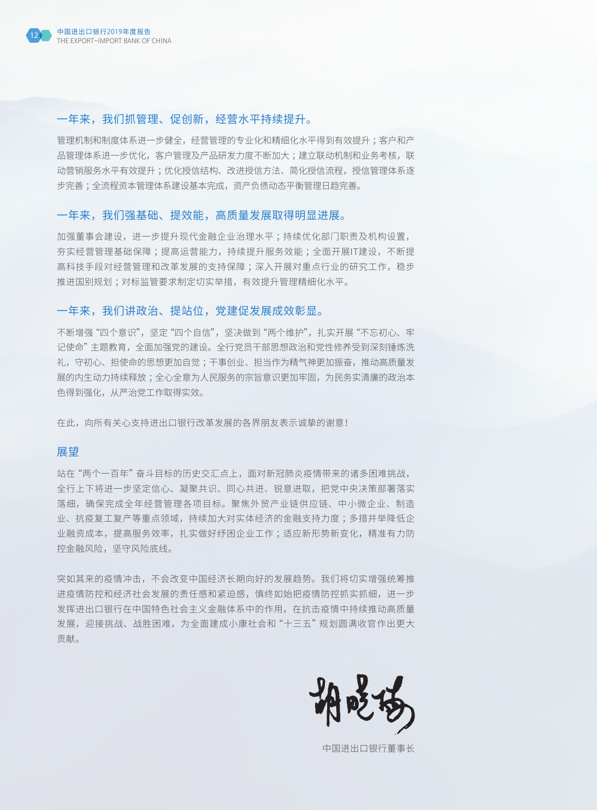

# 一年来,我们抓管理、促创新,经营水平持续提升。

管理机制和制度体系进一步健全,经营管理的专业化和精细化水平得到有效提升 ;客户和产 品管理体系进一步优化,客户管理及产品研发力度不断加大;建立联动机制和业务考核,联 动营销服务水平有效提升;优化授信结构、改进授信方法、简化授信流程,授信管理体系逐 步完善 ;全流程资本管理体系建设基本完成,资产负债动态平衡管理日趋完善。

### 一年来,我们强基础、提效能,高质量发展取得明显进展。

加强董事会建设,进一步提升现代金融企业治理水平 ;持续优化部门职责及机构设置, 夯实经营管理基础保障 ;提高运营能力,持续提升服务效能 ;全面开展IT建设,不断提 高科技手段对经营管理和改革发展的支持保障 ;深入开展对重点行业的研究工作,稳步 推进国别规划 ;对标监管要求制定切实举措,有效提升管理精细化水平。

# 一年来,我们讲政治、提站位,党建促发展成效彰显。

不断增强"四个意识",坚定"四个自信",坚决做到"两个维护",扎实开展"不忘初心、牢 记使命"主题教育,全面加强党的建设。全行党员干部思想政治和党性修养受到深刻锤炼洗 礼,守初心、担使命的思想更加自觉 ;干事创业、担当作为精气神更加振奋,推动高质量发 展的内生动力持续释放 ;全心全意为人民服务的宗旨意识更加牢固,为民务实清廉的政治本 色得到强化,从严治党工作取得实效。

在此,向所有关心支持进出口银行改革发展的各界朋友表示诚挚的谢意!

#### 展望

站在"两个一百年"奋斗目标的历史交汇点上,面对新冠肺炎疫情带来的诸多困难挑战, 全行上下将进一步坚定信心、凝聚共识、同心共进、锐意进取,把党中央决策部署落实 落细,确保完成全年经营管理各项目标。聚焦外贸产业链供应链、中小微企业、制造 业、抗疫复工复产等重点领域,持续加大对实体经济的金融支持力度 ;多措并举降低企 业融资成本,提高服务效率,扎实做好纾困企业工作 ;适应新形势新变化,精准有力防 控金融风险,坚守风险底线。

突如其来的疫情冲击,不会改变中国经济长期向好的发展趋势。我们将切实增强统筹推 进疫情防控和经济社会发展的责任感和紧迫感,慎终如始把疫情防控抓实抓细,进一步 发挥进出口银行在中国特色社会主义金融体系中的作用,在抗击疫情中持续推动高质量 发展,迎接挑战、战胜困难,为全面建成小康社会和"十三五"规划圆满收官作出更大 贡献。

中国进出口银行董事长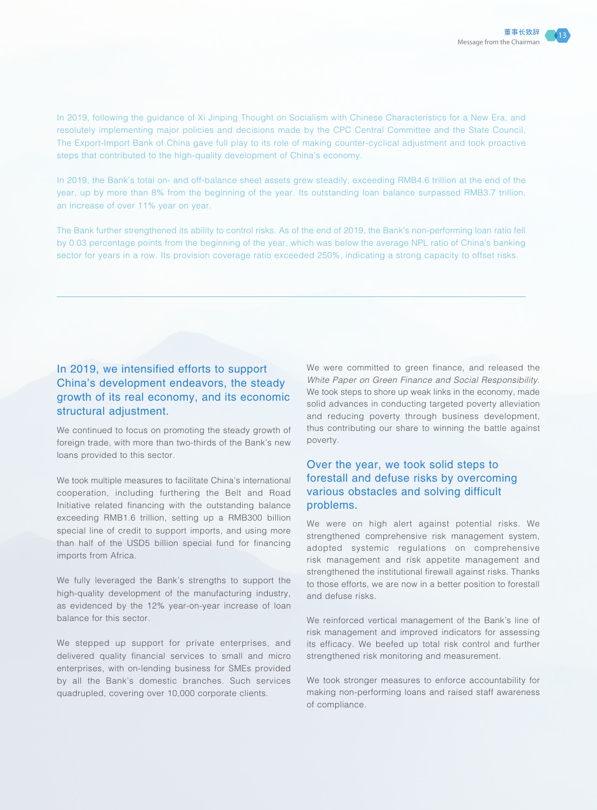In 2019, following the guidance of Xi Jinping Thought on Socialism with Chinese Characteristics for a New Era, and resolutely implementing major policies and decisions made by the CPC Central Committee and the State Council, The Export-Import Bank of China gave full play to its role of making counter-cyclical adjustment and took proactive steps that contributed to the high-quality development of China's economy.

In 2019, the Bank's total on- and off-balance sheet assets grew steadily, exceeding RMB4.6 trillion at the end of the year, up by more than 8% from the beginning of the year. Its outstanding loan balance surpassed RMB3.7 trillion, an increase of over 11% year on year.

The Bank further strengthened its ability to control risks. As of the end of 2019, the Bank's non-performing loan ratio fell by 0.03 percentage points from the beginning of the year, which was below the average NPL ratio of China's banking sector for years in a row. Its provision coverage ratio exceeded 250%, indicating a strong capacity to offset risks.

# In 2019, we intensified efforts to support China's development endeavors, the steady growth of its real economy, and its economic structural adjustment.

We continued to focus on promoting the steady growth of foreign trade, with more than two-thirds of the Bank's new loans provided to this sector.

We took multiple measures to facilitate China's international cooperation, including furthering the Belt and Road Initiative related financing with the outstanding balance exceeding RMB1.6 trillion, setting up a RMB300 billion special line of credit to support imports, and using more than half of the USD5 billion special fund for financing imports from Africa.

We fully leveraged the Bank's strengths to support the high-quality development of the manufacturing industry, as evidenced by the 12% year-on-year increase of loan balance for this sector.

We stepped up support for private enterprises, and delivered quality financial services to small and micro enterprises, with on-lending business for SMEs provided by all the Bank's domestic branches. Such services quadrupled, covering over 10,000 corporate clients.

We were committed to green finance, and released the *White Paper on Green Finance and Social Responsibility*. We took steps to shore up weak links in the economy, made solid advances in conducting targeted poverty alleviation and reducing poverty through business development, thus contributing our share to winning the battle against poverty.

# Over the year, we took solid steps to forestall and defuse risks by overcoming various obstacles and solving difficult problems.

We were on high alert against potential risks. We strengthened comprehensive risk management system, adopted systemic regulations on comprehensive risk management and risk appetite management and strengthened the institutional firewall against risks. Thanks to those efforts, we are now in a better position to forestall and defuse risks.

We reinforced vertical management of the Bank's line of risk management and improved indicators for assessing its efficacy. We beefed up total risk control and further strengthened risk monitoring and measurement.

We took stronger measures to enforce accountability for making non-performing loans and raised staff awareness of compliance.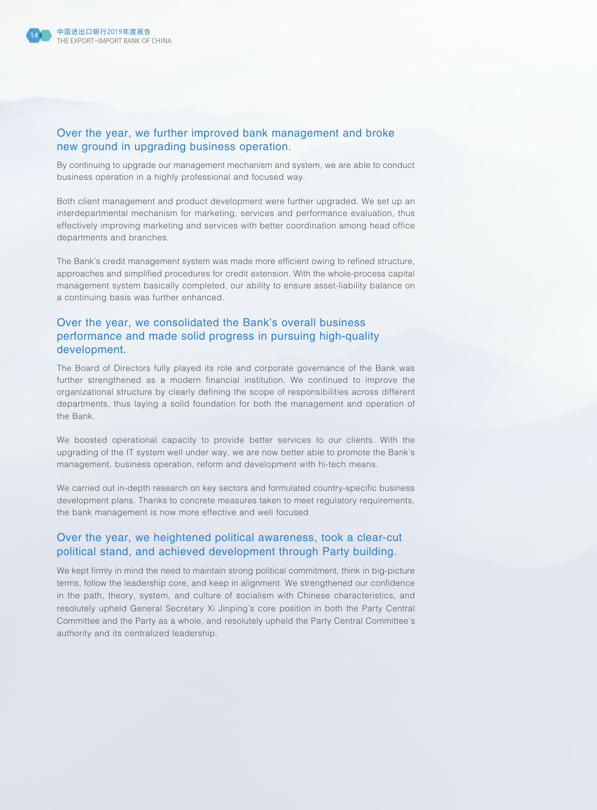

### Over the year, we further improved bank management and broke new ground in upgrading business operation.

By continuing to upgrade our management mechanism and system, we are able to conduct business operation in a highly professional and focused way.

Both client management and product development were further upgraded. We set up an interdepartmental mechanism for marketing, services and performance evaluation, thus effectively improving marketing and services with better coordination among head office departments and branches.

The Bank's credit management system was made more efficient owing to refined structure, approaches and simplified procedures for credit extension. With the whole-process capital management system basically completed, our ability to ensure asset-liability balance on a continuing basis was further enhanced.

# Over the year, we consolidated the Bank's overall business performance and made solid progress in pursuing high-quality development.

The Board of Directors fully played its role and corporate governance of the Bank was further strengthened as a modern financial institution. We continued to improve the organizational structure by clearly defining the scope of responsibilities across different departments, thus laying a solid foundation for both the management and operation of the Bank.

We boosted operational capacity to provide better services to our clients. With the upgrading of the IT system well under way, we are now better able to promote the Bank's management, business operation, reform and development with hi-tech means.

We carried out in-depth research on key sectors and formulated country-specific business development plans. Thanks to concrete measures taken to meet regulatory requirements, the bank management is now more effective and well focused.

# Over the year, we heightened political awareness, took a clear-cut political stand, and achieved development through Party building.

We kept firmly in mind the need to maintain strong political commitment, think in big-picture terms, follow the leadership core, and keep in alignment. We strengthened our confidence in the path, theory, system, and culture of socialism with Chinese characteristics, and resolutely upheld General Secretary Xi Jinping's core position in both the Party Central Committee and the Party as a whole, and resolutely upheld the Party Central Committee's authority and its centralized leadership.